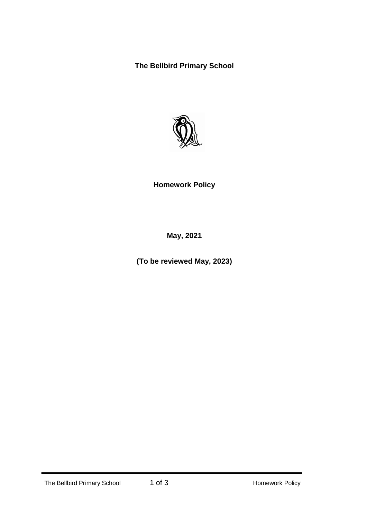**The Bellbird Primary School**



# **Homework Policy**

**May, 2021**

**(To be reviewed May, 2023)**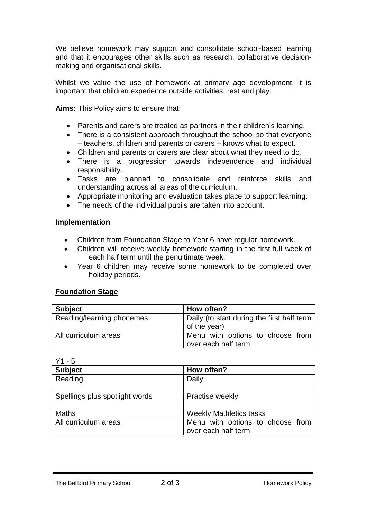We believe homework may support and consolidate school-based learning and that it encourages other skills such as research, collaborative decisionmaking and organisational skills.

Whilst we value the use of homework at primary age development, it is important that children experience outside activities, rest and play.

**Aims:** This Policy aims to ensure that:

- Parents and carers are treated as partners in their children's learning.
- There is a consistent approach throughout the school so that everyone – teachers, children and parents or carers – knows what to expect.
- Children and parents or carers are clear about what they need to do.
- There is a progression towards independence and individual responsibility.
- Tasks are planned to consolidate and reinforce skills and understanding across all areas of the curriculum.
- Appropriate monitoring and evaluation takes place to support learning.
- The needs of the individual pupils are taken into account.

### **Implementation**

- Children from Foundation Stage to Year 6 have regular homework.
- Children will receive weekly homework starting in the first full week of each half term until the penultimate week.
- Year 6 children may receive some homework to be completed over holiday periods.

# **Foundation Stage**

| <b>Subject</b>            | How often?                                                 |
|---------------------------|------------------------------------------------------------|
| Reading/learning phonemes | Daily (to start during the first half term<br>of the year) |
| All curriculum areas      | Menu with options to choose from<br>over each half term    |

Y1 - 5

| <b>Subject</b>                 | How often?                                              |
|--------------------------------|---------------------------------------------------------|
| Reading                        | Daily                                                   |
| Spellings plus spotlight words | Practise weekly                                         |
| <b>Maths</b>                   | <b>Weekly Mathletics tasks</b>                          |
| All curriculum areas           | Menu with options to choose from<br>over each half term |

The Bellbird Primary School 2 of 3 and 2 Homework Policy